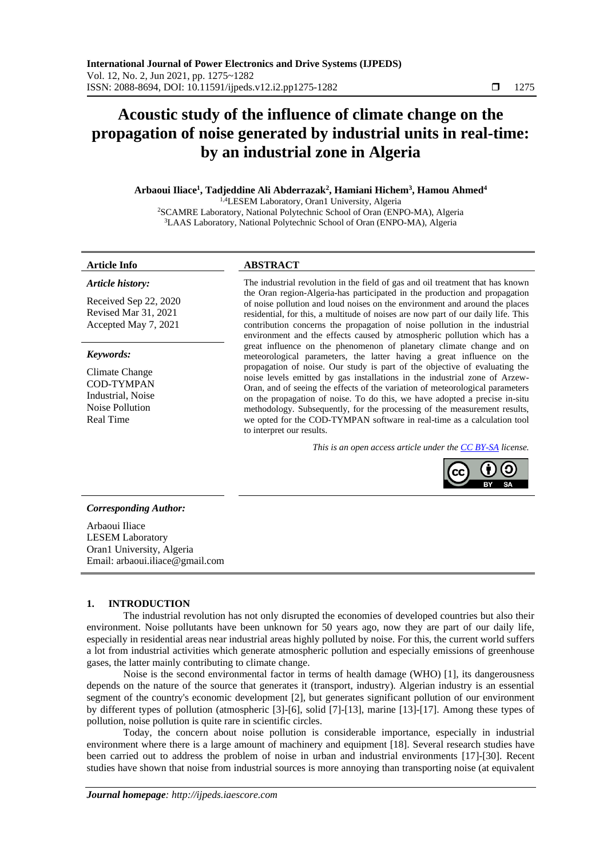# **Acoustic study of the influence of climate change on the propagation of noise generated by industrial units in real-time: by an industrial zone in Algeria**

**Arbaoui Iliace<sup>1</sup> , Tadjeddine Ali Abderrazak<sup>2</sup> , Hamiani Hichem<sup>3</sup> , Hamou Ahmed<sup>4</sup>**

1,4LESEM Laboratory, Oran1 University, Algeria <sup>2</sup>SCAMRE Laboratory, National Polytechnic School of Oran (ENPO-MA), Algeria <sup>3</sup>LAAS Laboratory, National Polytechnic School of Oran (ENPO-MA), Algeria

#### **Article Info ABSTRACT**

*Article history:*

Received Sep 22, 2020 Revised Mar 31, 2021 Accepted May 7, 2021

#### *Keywords:*

Climate Change COD-TYMPAN Industrial, Noise Noise Pollution Real Time

The industrial revolution in the field of gas and oil treatment that has known the Oran region-Algeria-has participated in the production and propagation of noise pollution and loud noises on the environment and around the places residential, for this, a multitude of noises are now part of our daily life. This contribution concerns the propagation of noise pollution in the industrial environment and the effects caused by atmospheric pollution which has a great influence on the phenomenon of planetary climate change and on meteorological parameters, the latter having a great influence on the propagation of noise. Our study is part of the objective of evaluating the noise levels emitted by gas installations in the industrial zone of Arzew-Oran, and of seeing the effects of the variation of meteorological parameters on the propagation of noise. To do this, we have adopted a precise in-situ methodology. Subsequently, for the processing of the measurement results, we opted for the COD-TYMPAN software in real-time as a calculation tool to interpret our results.

*This is an open access article under the [CC BY-SA](https://creativecommons.org/licenses/by-sa/4.0/) license.*



# *Corresponding Author:*

Arbaoui Iliace LESEM Laboratory Oran1 University, Algeria Email: arbaoui.iliace@gmail.com

# **1. INTRODUCTION**

The industrial revolution has not only disrupted the economies of developed countries but also their environment. Noise pollutants have been unknown for 50 years ago, now they are part of our daily life, especially in residential areas near industrial areas highly polluted by noise. For this, the current world suffers a lot from industrial activities which generate atmospheric pollution and especially emissions of greenhouse gases, the latter mainly contributing to climate change.

Noise is the second environmental factor in terms of health damage (WHO) [1], its dangerousness depends on the nature of the source that generates it (transport, industry). Algerian industry is an essential segment of the country's economic development [2], but generates significant pollution of our environment by different types of pollution (atmospheric [3]-[6], solid [7]-[13], marine [13]-[17]. Among these types of pollution, noise pollution is quite rare in scientific circles.

Today, the concern about noise pollution is considerable importance, especially in industrial environment where there is a large amount of machinery and equipment [18]. Several research studies have been carried out to address the problem of noise in urban and industrial environments [17]-[30]. Recent studies have shown that noise from industrial sources is more annoying than transporting noise (at equivalent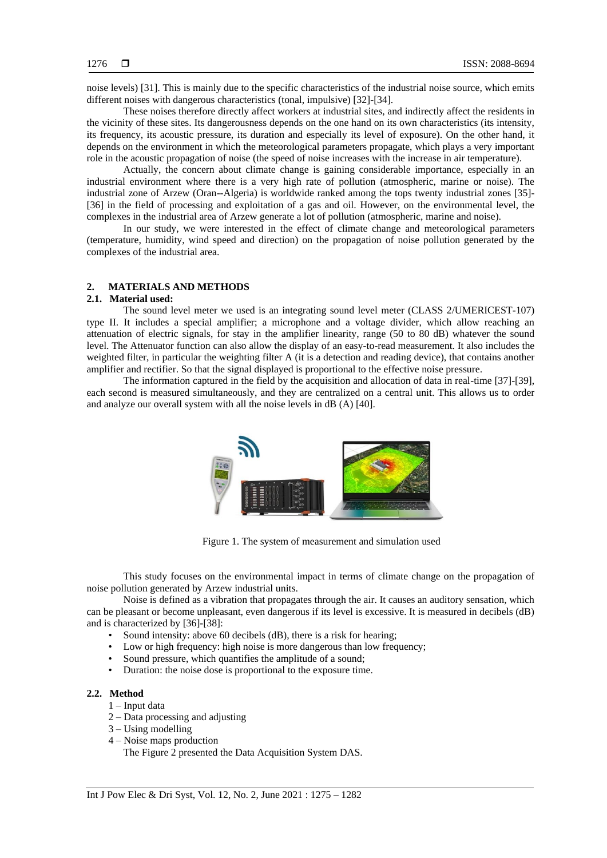noise levels) [31]. This is mainly due to the specific characteristics of the industrial noise source, which emits different noises with dangerous characteristics (tonal, impulsive) [32]-[34].

These noises therefore directly affect workers at industrial sites, and indirectly affect the residents in the vicinity of these sites. Its dangerousness depends on the one hand on its own characteristics (its intensity, its frequency, its acoustic pressure, its duration and especially its level of exposure). On the other hand, it depends on the environment in which the meteorological parameters propagate, which plays a very important role in the acoustic propagation of noise (the speed of noise increases with the increase in air temperature).

Actually, the concern about climate change is gaining considerable importance, especially in an industrial environment where there is a very high rate of pollution (atmospheric, marine or noise). The industrial zone of Arzew (Oran--Algeria) is worldwide ranked among the tops twenty industrial zones [35]- [36] in the field of processing and exploitation of a gas and oil. However, on the environmental level, the complexes in the industrial area of Arzew generate a lot of pollution (atmospheric, marine and noise).

In our study, we were interested in the effect of climate change and meteorological parameters (temperature, humidity, wind speed and direction) on the propagation of noise pollution generated by the complexes of the industrial area.

### **2. MATERIALS AND METHODS**

#### **2.1. Material used:**

The sound level meter we used is an integrating sound level meter (CLASS 2/UMERICEST-107) type II. It includes a special amplifier; a microphone and a voltage divider, which allow reaching an attenuation of electric signals, for stay in the amplifier linearity, range (50 to 80 dB) whatever the sound level. The Attenuator function can also allow the display of an easy-to-read measurement. It also includes the weighted filter, in particular the weighting filter A (it is a detection and reading device), that contains another amplifier and rectifier. So that the signal displayed is proportional to the effective noise pressure.

The information captured in the field by the acquisition and allocation of data in real-time [37]-[39], each second is measured simultaneously, and they are centralized on a central unit. This allows us to order and analyze our overall system with all the noise levels in dB (A) [40].



Figure 1. The system of measurement and simulation used

This study focuses on the environmental impact in terms of climate change on the propagation of noise pollution generated by Arzew industrial units.

Noise is defined as a vibration that propagates through the air. It causes an auditory sensation, which can be pleasant or become unpleasant, even dangerous if its level is excessive. It is measured in decibels (dB) and is characterized by [36]-[38]:

- Sound intensity: above 60 decibels (dB), there is a risk for hearing;
- Low or high frequency: high noise is more dangerous than low frequency;
- Sound pressure, which quantifies the amplitude of a sound;
- Duration: the noise dose is proportional to the exposure time.

# **2.2. Method**

- 1 Input data
- 2 Data processing and adjusting
- $3 Using modelling$
- 4 Noise maps production

The Figure 2 presented the Data Acquisition System DAS.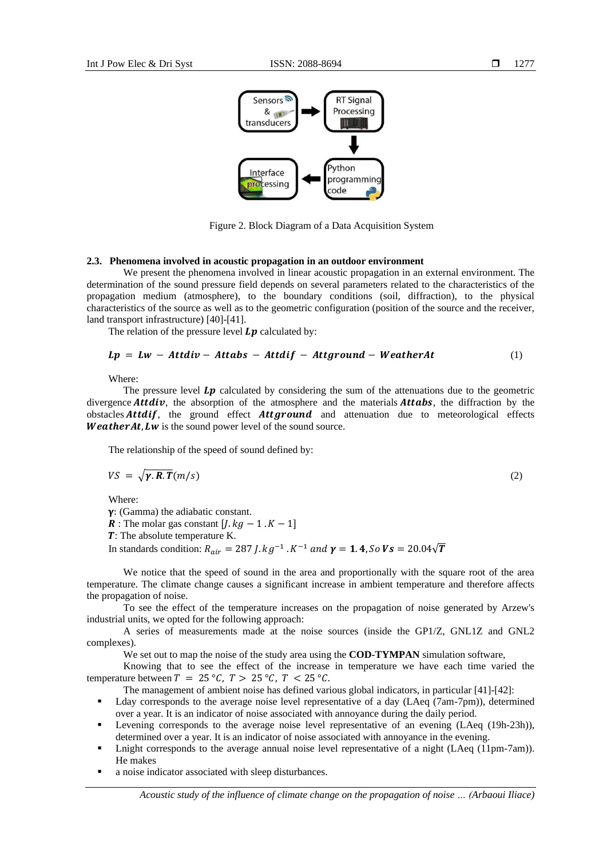

Figure 2. Block Diagram of a Data Acquisition System

#### **2.3. Phenomena involved in acoustic propagation in an outdoor environment**

We present the phenomena involved in linear acoustic propagation in an external environment. The determination of the sound pressure field depends on several parameters related to the characteristics of the propagation medium (atmosphere), to the boundary conditions (soil, diffraction), to the physical characteristics of the source as well as to the geometric configuration (position of the source and the receiver, land transport infrastructure) [40]-[41].

The relation of the pressure level  $\boldsymbol{L}\boldsymbol{v}$  calculated by:

$$
Lp = Lw - Attdiv - Attabs - Attdif - Attground - WeatherAt
$$
 (1)

Where:

The pressure level  $Lp$  calculated by considering the sum of the attenuations due to the geometric divergence **Attaiv**, the absorption of the atmosphere and the materials **Attabs**, the diffraction by the obstacles  $Attdif$ , the ground effect  $Attground$  and attenuation due to meteorological effects **Weather At, Lw** is the sound power level of the sound source.

The relationship of the speed of sound defined by:

$$
VS = \sqrt{\gamma \cdot R \cdot T} (m/s) \tag{2}
$$

Where:

: (Gamma) the adiabatic constant.

**R**: The molar gas constant  $[I.kg - 1.K - 1]$ 

**T**: The absolute temperature K.

In standards condition:  $R_{air} = 287$  J.  $kg^{-1}$  .  $K^{-1}$  and  $\gamma = 1.4$ , So  $Vs = 20.04\sqrt{T}$ 

We notice that the speed of sound in the area and proportionally with the square root of the area temperature. The climate change causes a significant increase in ambient temperature and therefore affects the propagation of noise.

To see the effect of the temperature increases on the propagation of noise generated by Arzew's industrial units, we opted for the following approach:

A series of measurements made at the noise sources (inside the GP1/Z, GNL1Z and GNL2 complexes).

We set out to map the noise of the study area using the **COD-TYMPAN** simulation software,

Knowing that to see the effect of the increase in temperature we have each time varied the temperature between  $T = 25 \degree C$ ,  $T > 25 \degree C$ ,  $T < 25 \degree C$ .

The management of ambient noise has defined various global indicators, in particular [41]-[42]:

- Lday corresponds to the average noise level representative of a day (LAeq (7am-7pm)), determined over a year. It is an indicator of noise associated with annoyance during the daily period.
- Levening corresponds to the average noise level representative of an evening (LAeq (19h-23h)), determined over a year. It is an indicator of noise associated with annoyance in the evening.
- Lnight corresponds to the average annual noise level representative of a night (LAeq (11pm-7am)). He makes
- a noise indicator associated with sleep disturbances.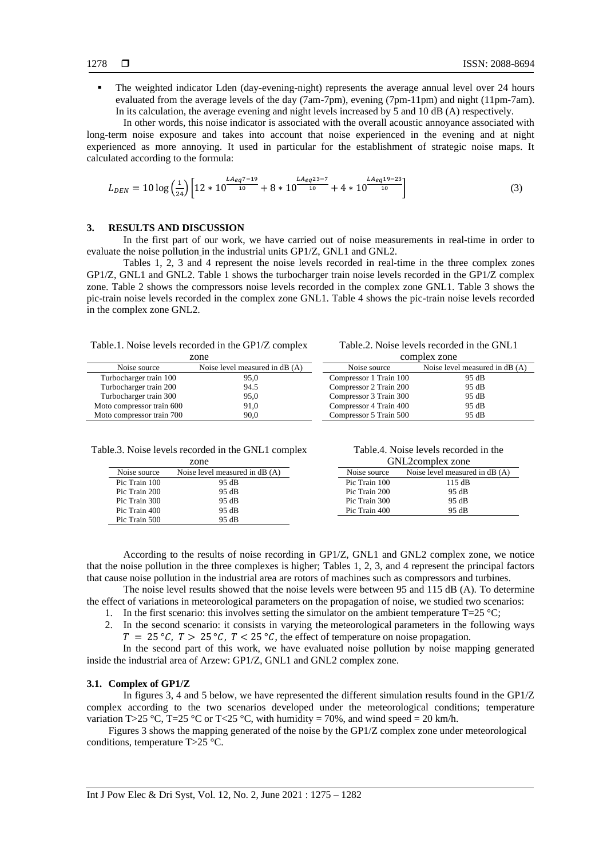The weighted indicator Lden (day-evening-night) represents the average annual level over 24 hours evaluated from the average levels of the day (7am-7pm), evening (7pm-11pm) and night (11pm-7am). In its calculation, the average evening and night levels increased by 5 and 10 dB (A) respectively.

In other words, this noise indicator is associated with the overall acoustic annoyance associated with long-term noise exposure and takes into account that noise experienced in the evening and at night experienced as more annoying. It used in particular for the establishment of strategic noise maps. It calculated according to the formula:

$$
L_{DEN} = 10 \log \left(\frac{1}{24}\right) \left[ 12 \times 10^{\frac{L A_{eq} 7 - 19}{10}} + 8 \times 10^{\frac{L A_{eq} 23 - 7}{10}} + 4 \times 10^{\frac{L A_{eq} 19 - 23}{10}} \right] \tag{3}
$$

#### **3. RESULTS AND DISCUSSION**

In the first part of our work, we have carried out of noise measurements in real-time in order to evaluate the noise pollution in the industrial units GP1/Z, GNL1 and GNL2.

Tables 1, 2, 3 and 4 represent the noise levels recorded in real-time in the three complex zones GP1/Z, GNL1 and GNL2. Table 1 shows the turbocharger train noise levels recorded in the GP1/Z complex zone. Table 2 shows the compressors noise levels recorded in the complex zone GNL1. Table 3 shows the pic-train noise levels recorded in the complex zone GNL1. Table 4 shows the pic-train noise levels recorded in the complex zone GNL2.

|  |  |  | Table.1. Noise levels recorded in the GP1/Z complex |
|--|--|--|-----------------------------------------------------|
|--|--|--|-----------------------------------------------------|

Table.2. Noise levels recorded in the GNL1

| zone                      |                                | complex zone           |                                |  |
|---------------------------|--------------------------------|------------------------|--------------------------------|--|
| Noise source              | Noise level measured in dB (A) | Noise source           | Noise level measured in dB (A) |  |
| Turbocharger train 100    | 95.0                           | Compressor 1 Train 100 | 95 dB                          |  |
| Turbocharger train 200    | 94.5                           | Compressor 2 Train 200 | 95 dB                          |  |
| Turbocharger train 300    | 95,0                           | Compressor 3 Train 300 | 95 dB                          |  |
| Moto compressor train 600 | 91,0                           | Compressor 4 Train 400 | 95 dB                          |  |
| Moto compressor train 700 | 90.0                           | Compressor 5 Train 500 | 95 dB                          |  |

| Table.3. Noise levels recorded in the GNL1 complex |  |
|----------------------------------------------------|--|
|----------------------------------------------------|--|

| zone          |                                |  |
|---------------|--------------------------------|--|
| Noise source  | Noise level measured in dB (A) |  |
| Pic Train 100 | 95 dB                          |  |
| Pic Train 200 | 95 dB                          |  |
| Pic Train 300 | 95 dB                          |  |
| Pic Train 400 | 95 dB                          |  |
| Pic Train 500 | 95 dB                          |  |

| Table.4. Noise levels recorded in the |  |              |  |
|---------------------------------------|--|--------------|--|
|                                       |  | $CNT \cap 1$ |  |

| GNL2complex zone                               |        |  |
|------------------------------------------------|--------|--|
| Noise source<br>Noise level measured in dB (A) |        |  |
| Pic Train 100                                  | 115 dB |  |
| Pic Train 200                                  | 95 dB  |  |
| Pic Train 300                                  | 95 dB  |  |
| Pic Train 400                                  | 95 dB  |  |

According to the results of noise recording in GP1/Z, GNL1 and GNL2 complex zone, we notice that the noise pollution in the three complexes is higher; Tables 1, 2, 3, and 4 represent the principal factors that cause noise pollution in the industrial area are rotors of machines such as compressors and turbines.

The noise level results showed that the noise levels were between 95 and 115 dB (A). To determine the effect of variations in meteorological parameters on the propagation of noise, we studied two scenarios:

1. In the first scenario: this involves setting the simulator on the ambient temperature  $T=25 \degree C$ ;

2. In the second scenario: it consists in varying the meteorological parameters in the following ways  $T = 25 \degree C$ ,  $T > 25 \degree C$ ,  $T < 25 \degree C$ , the effect of temperature on noise propagation.

In the second part of this work, we have evaluated noise pollution by noise mapping generated inside the industrial area of Arzew: GP1/Z, GNL1 and GNL2 complex zone.

#### **3.1. Complex of GP1/Z**

In figures 3, 4 and 5 below, we have represented the different simulation results found in the GP1/Z complex according to the two scenarios developed under the meteorological conditions; temperature variation T>25 °C, T=25 °C or T<25 °C, with humidity = 70%, and wind speed = 20 km/h.

Figures 3 shows the mapping generated of the noise by the GP1/Z complex zone under meteorological conditions, temperature T>25 °C.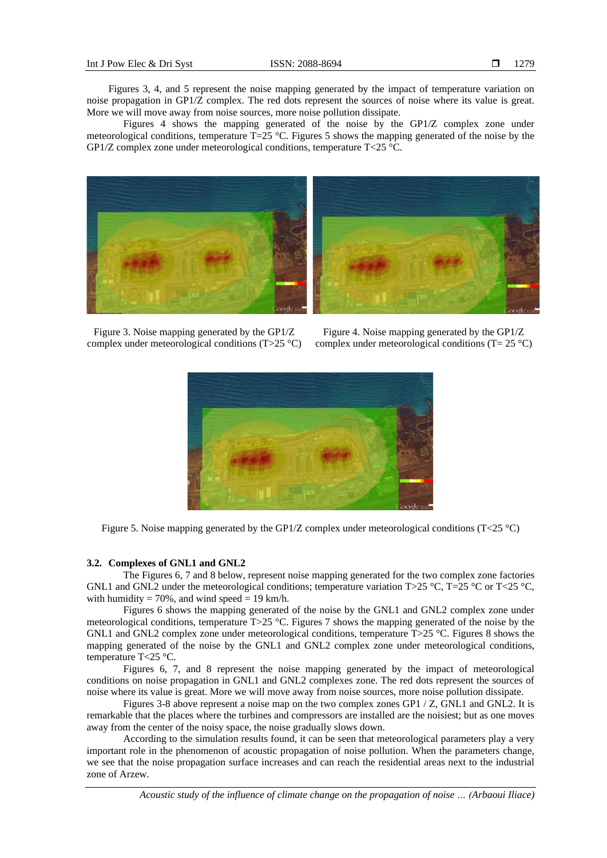Figures 3, 4, and 5 represent the noise mapping generated by the impact of temperature variation on noise propagation in GP1/Z complex. The red dots represent the sources of noise where its value is great. More we will move away from noise sources, more noise pollution dissipate.

Figures 4 shows the mapping generated of the noise by the GP1/Z complex zone under meteorological conditions, temperature  $\overline{T}$ =25 °C. Figures 5 shows the mapping generated of the noise by the GP1/Z complex zone under meteorological conditions, temperature  $T < 25$  °C.



Figure 3. Noise mapping generated by the GP1/Z complex under meteorological conditions (T>25 °C)

Figure 4. Noise mapping generated by the GP1/Z complex under meteorological conditions  $(T= 25 \degree C)$ 



Figure 5. Noise mapping generated by the GP1/Z complex under meteorological conditions (T<25 °C)

# **3.2. Complexes of GNL1 and GNL2**

The Figures 6, 7 and 8 below, represent noise mapping generated for the two complex zone factories GNL1 and GNL2 under the meteorological conditions; temperature variation T>25 °C, T=25 °C or T<25 °C. with humidity = 70%, and wind speed = 19 km/h.

Figures 6 shows the mapping generated of the noise by the GNL1 and GNL2 complex zone under meteorological conditions, temperature T>25 °C. Figures 7 shows the mapping generated of the noise by the GNL1 and GNL2 complex zone under meteorological conditions, temperature T $>25$  °C. Figures 8 shows the mapping generated of the noise by the GNL1 and GNL2 complex zone under meteorological conditions, temperature T<25 °C.

Figures 6, 7, and 8 represent the noise mapping generated by the impact of meteorological conditions on noise propagation in GNL1 and GNL2 complexes zone. The red dots represent the sources of noise where its value is great. More we will move away from noise sources, more noise pollution dissipate.

Figures 3-8 above represent a noise map on the two complex zones GP1 / Z, GNL1 and GNL2. It is remarkable that the places where the turbines and compressors are installed are the noisiest; but as one moves away from the center of the noisy space, the noise gradually slows down.

According to the simulation results found, it can be seen that meteorological parameters play a very important role in the phenomenon of acoustic propagation of noise pollution. When the parameters change, we see that the noise propagation surface increases and can reach the residential areas next to the industrial zone of Arzew.

*Acoustic study of the influence of climate change on the propagation of noise … (Arbaoui Iliace)*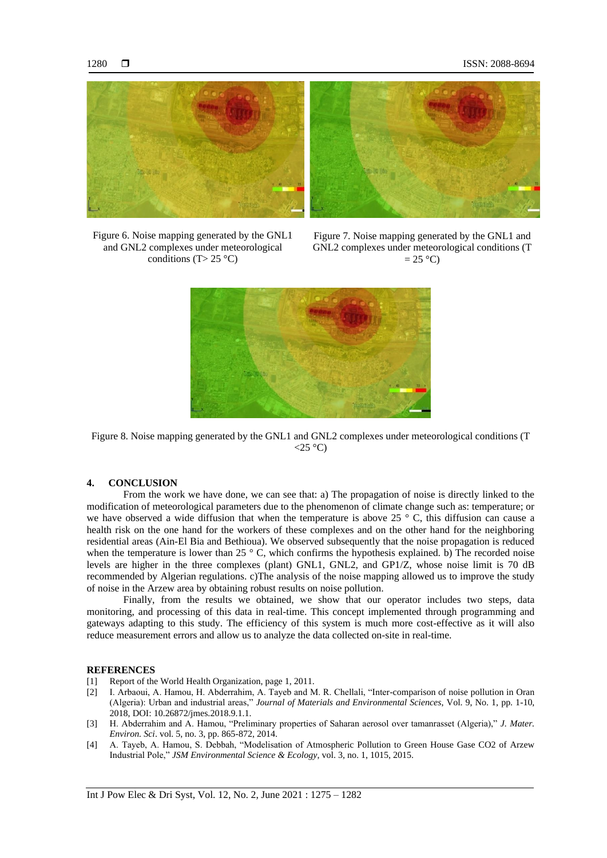

Figure 6. Noise mapping generated by the GNL1 and GNL2 complexes under meteorological conditions (T > 25 °C)

Figure 7. Noise mapping generated by the GNL1 and GNL2 complexes under meteorological conditions (T  $= 25 \degree C$ 



Figure 8. Noise mapping generated by the GNL1 and GNL2 complexes under meteorological conditions (T  $<$ 25 °C)

#### **4. CONCLUSION**

From the work we have done, we can see that: a) The propagation of noise is directly linked to the modification of meteorological parameters due to the phenomenon of climate change such as: temperature; or we have observed a wide diffusion that when the temperature is above 25 ° C, this diffusion can cause a health risk on the one hand for the workers of these complexes and on the other hand for the neighboring residential areas (Ain-El Bia and Bethioua). We observed subsequently that the noise propagation is reduced when the temperature is lower than 25  $\degree$  C, which confirms the hypothesis explained. b) The recorded noise levels are higher in the three complexes (plant) GNL1, GNL2, and GP1/Z, whose noise limit is 70 dB recommended by Algerian regulations. c)The analysis of the noise mapping allowed us to improve the study of noise in the Arzew area by obtaining robust results on noise pollution.

Finally, from the results we obtained, we show that our operator includes two steps, data monitoring, and processing of this data in real-time. This concept implemented through programming and gateways adapting to this study. The efficiency of this system is much more cost-effective as it will also reduce measurement errors and allow us to analyze the data collected on-site in real-time.

#### **REFERENCES**

- [1] Report of the World Health Organization, page 1, 2011.
- [2] I. Arbaoui, A. Hamou, H. Abderrahim, A. Tayeb and M. R. Chellali, "Inter-comparison of noise pollution in Oran (Algeria): Urban and industrial areas," *Journal of Materials and Environmental Sciences*, Vol. 9, No. 1, pp. 1-10, 2018, DOI: 10.26872/jmes.2018.9.1.1.
- [3] H. Abderrahim and A. Hamou, "Preliminary properties of Saharan aerosol over tamanrasset (Algeria)," *J. Mater. Environ. Sci*. vol. 5, no. 3, pp. 865-872, 2014.
- [4] A. Tayeb, A. Hamou, S. Debbah, "Modelisation of Atmospheric Pollution to Green House Gase CO2 of Arzew Industrial Pole," *JSM Environmental Science & Ecology*, vol. 3, no. 1, 1015, 2015.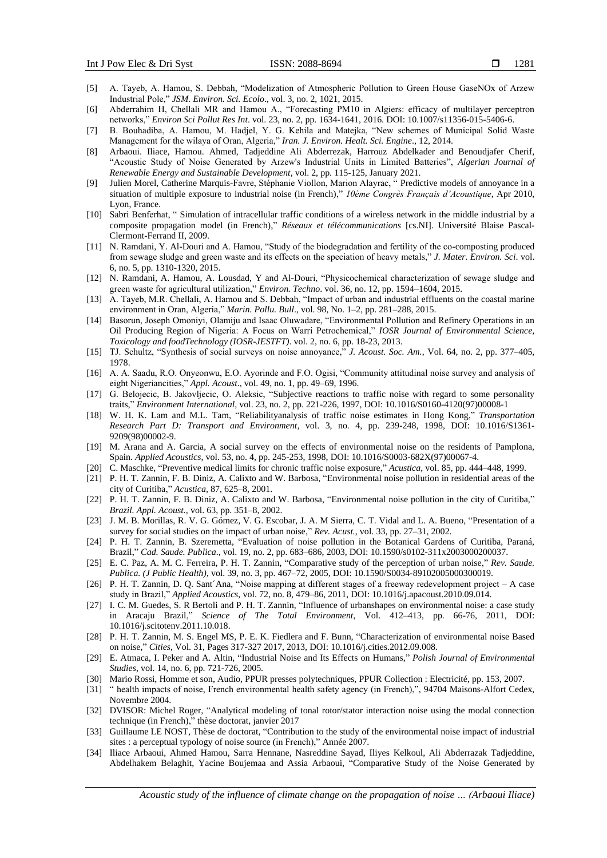- [5] A. Tayeb, A. Hamou, S. Debbah, "Modelization of Atmospheric Pollution to Green House GaseNOx of Arzew Industrial Pole," *JSM. Environ. Sci. Ecolo*., vol. 3, no. 2, 1021, 2015.
- [6] Abderrahim H, Chellali MR and Hamou A., "Forecasting PM10 in Algiers: efficacy of multilayer perceptron networks," *Environ Sci Pollut Res Int*. vol. 23, no. 2, pp. 1634-1641, 2016. DOI: 10.1007/s11356-015-5406-6.
- [7] B. Bouhadiba, A. Hamou, M. Hadjel, Y. G. Kehila and Matejka, "New schemes of Municipal Solid Waste Management for the wilaya of Oran, Algeria," *Iran. J. Environ. Healt. Sci. Engine*., 12, 2014.
- [8] Arbaoui. Iliace, Hamou. Ahmed, Tadjeddine Ali Abderrezak, Harrouz Abdelkader and Benoudjafer Cherif, "Acoustic Study of Noise Generated by Arzew's Industrial Units in Limited Batteries", *Algerian Journal of Renewable Energy and Sustainable Development*, vol. 2, pp. 115-125, January 2021.
- [9] Julien Morel, Catherine Marquis-Favre, Stéphanie Viollon, Marion Alayrac, " Predictive models of annoyance in a situation of multiple exposure to industrial noise (in French)," *10ème Congrès Français d'Acoustique*, Apr 2010, Lyon, France.
- [10] Sabri Benferhat, " Simulation of intracellular traffic conditions of a wireless network in the middle industrial by a composite propagation model (in French)," *Réseaux et télécommunications* [cs.NI]. Université Blaise Pascal-Clermont-Ferrand II, 2009.
- [11] N. Ramdani, Y. Al-Douri and A. Hamou, "Study of the biodegradation and fertility of the co-composting produced from sewage sludge and green waste and its effects on the speciation of heavy metals," *J. Mater. Environ. Sci*. vol. 6, no. 5, pp. 1310-1320, 2015.
- [12] N. Ramdani, A. Hamou, A. Lousdad, Y and Al-Douri, "Physicochemical characterization of sewage sludge and green waste for agricultural utilization," *Environ. Techno*. vol. 36, no. 12, pp. 1594–1604, 2015.
- [13] A. Tayeb, M.R. Chellali, A. Hamou and S. Debbah, "Impact of urban and industrial effluents on the coastal marine environment in Oran, Algeria," *Marin. Pollu. Bull*., vol. 98, No. 1–2, pp. 281–288, 2015.
- [14] Basorun, Joseph Omoniyi, Olamiju and Isaac Oluwadare, "Environmental Pollution and Refinery Operations in an Oil Producing Region of Nigeria: A Focus on Warri Petrochemical," *IOSR Journal of Environmental Science, Toxicology and foodTechnology (IOSR-JESTFT)*. vol. 2, no. 6, pp. 18-23, 2013.
- [15] TJ. Schultz, "Synthesis of social surveys on noise annoyance," *J. Acoust. Soc. Am.*, Vol. 64, no. 2, pp. 377–405, 1978.
- [16] A. A. Saadu, R.O. Onyeonwu, E.O. Ayorinde and F.O. Ogisi, "Community attitudinal noise survey and analysis of eight Nigeriancities," *Appl. Acoust*., vol. 49, no. 1, pp. 49–69, 1996.
- [17] G. Belojecic, B. Jakovljecic, O. Aleksic, "Subjective reactions to traffic noise with regard to some personality traits," *Environment International*, vol. 23, no. 2, pp. 221-226, 1997, DOI: 10.1016/S0160-4120(97)00008-1
- [18] W. H. K. Lam and M.L. Tam, "Reliabilityanalysis of traffic noise estimates in Hong Kong," *Transportation Research Part D: Transport and Environment,* vol. 3, no. 4, pp. 239-248, 1998, DOI: 10.1016/S1361- 9209(98)00002-9.
- [19] M. Arana and A. Garcia, A social survey on the effects of environmental noise on the residents of Pamplona, Spain. *Applied Acoustics,* vol. 53, no. 4, pp. 245-253, 1998, DOI: 10.1016/S0003-682X(97)00067-4.
- [20] C. Maschke, "Preventive medical limits for chronic traffic noise exposure," *Acustica*, vol. 85, pp. 444–448, 1999.
- [21] P. H. T. Zannin, F. B. Diniz, A. Calixto and W. Barbosa, "Environmental noise pollution in residential areas of the city of Curitiba," *Acustica*, 87, 625–8, 2001.
- [22] P. H. T. Zannin, F. B. Diniz, A. Calixto and W. Barbosa, "Environmental noise pollution in the city of Curitiba," *Brazil. Appl. Acoust.*, vol. 63, pp. 351–8, 2002.
- [23] J. M. B. Morillas, R. V. G. Gómez, V. G. Escobar, J. A. M Sierra, C. T. Vidal and L. A. Bueno, "Presentation of a survey for social studies on the impact of urban noise," *Rev. Acust.*, vol. 33, pp. 27–31, 2002.
- [24] P. H. T. Zannin, B. Szeremetta, "Evaluation of noise pollution in the Botanical Gardens of Curitiba, Paraná, Brazil," *Cad. Saude. Publica*., vol. 19, no. 2, pp. 683–686, 2003, DOI: 10.1590/s0102-311x2003000200037.
- [25] E. C. Paz, A. M. C. Ferreira, P. H. T. Zannin, "Comparative study of the perception of urban noise," *Rev. Saude. Publica. (J Public Health),* vol. 39, no. 3, pp. 467–72, 2005, DOI: 10.1590/S0034-89102005000300019.
- [26] P. H. T. Zannin, D. Q. Sant´Ana, "Noise mapping at different stages of a freeway redevelopment project A case study in Brazil," *Applied Acoustics*, vol. 72, no. 8, 479–86, 2011, DOI: 10.1016/j.apacoust.2010.09.014.
- [27] I. C. M. Guedes, S. R Bertoli and P. H. T. Zannin, "Influence of urbanshapes on environmental noise: a case study in Aracaju Brazil," *Science of The Total Environment*, Vol. 412–413, pp. 66-76, 2011, DOI: 10.1016/j.scitotenv.2011.10.018.
- [28] P. H. T. Zannin, M. S. Engel MS, P. E. K. Fiedlera and F. Bunn, "Characterization of environmental noise Based on noise," *Cities*, Vol. 31, Pages 317-327 2017, 2013, DOI: 10.1016/j.cities.2012.09.008.
- [29] E. Atmaca, I. Peker and A. Altin, "Industrial Noise and Its Effects on Humans," *Polish Journal of Environmental Studies,* vol. 14, no. 6, pp. 721-726, 2005.
- [30] Mario Rossi, Homme et son, Audio, PPUR presses polytechniques, PPUR Collection : Electricité, pp. 153, 2007.
- [31] " health impacts of noise, French environmental health safety agency (in French),", 94704 Maisons-Alfort Cedex, Novembre 2004.
- [32] DVISOR: Michel Roger, "Analytical modeling of tonal rotor/stator interaction noise using the modal connection technique (in French)," thèse doctorat, janvier 2017
- [33] Guillaume LE NOST, Thèse de doctorat, "Contribution to the study of the environmental noise impact of industrial sites : a perceptual typology of noise source (in French)," Année 2007.
- [34] Iliace Arbaoui, Ahmed Hamou, Sarra Hennane, Nasreddine Sayad, Iliyes Kelkoul, Ali Abderrazak Tadjeddine, Abdelhakem Belaghit, Yacine Boujemaa and Assia Arbaoui, "Comparative Study of the Noise Generated by